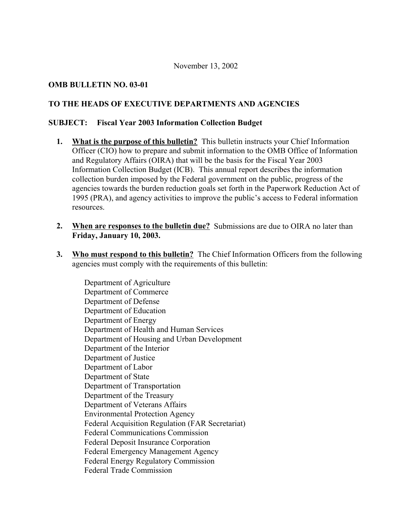## November 13, 2002

# **OMB BULLETIN NO. 03-01**

# **TO THE HEADS OF EXECUTIVE DEPARTMENTS AND AGENCIES**

## **SUBJECT: Fiscal Year 2003 Information Collection Budget**

- **1. What is the purpose of this bulletin?** This bulletin instructs your Chief Information Officer (CIO) how to prepare and submit information to the OMB Office of Information and Regulatory Affairs (OIRA) that will be the basis for the Fiscal Year 2003 Information Collection Budget (ICB). This annual report describes the information collection burden imposed by the Federal government on the public, progress of the agencies towards the burden reduction goals set forth in the Paperwork Reduction Act of 1995 (PRA), and agency activities to improve the public's access to Federal information resources.
- **2. When are responses to the bulletin due?** Submissions are due to OIRA no later than **Friday, January 10, 2003.**
- **3. Who must respond to this bulletin?** The Chief Information Officers from the following agencies must comply with the requirements of this bulletin:

Department of Agriculture Department of Commerce Department of Defense Department of Education Department of Energy Department of Health and Human Services Department of Housing and Urban Development Department of the Interior Department of Justice Department of Labor Department of State Department of Transportation Department of the Treasury Department of Veterans Affairs Environmental Protection Agency Federal Acquisition Regulation (FAR Secretariat) Federal Communications Commission Federal Deposit Insurance Corporation Federal Emergency Management Agency Federal Energy Regulatory Commission Federal Trade Commission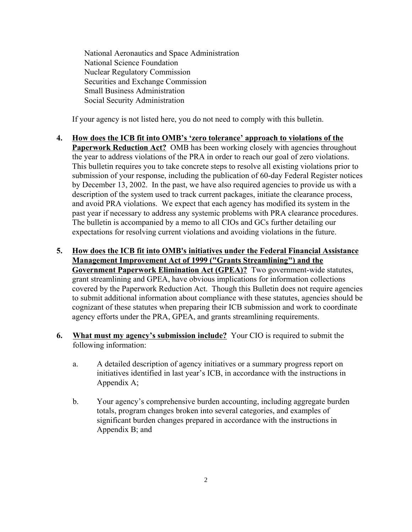National Aeronautics and Space Administration National Science Foundation Nuclear Regulatory Commission Securities and Exchange Commission Small Business Administration Social Security Administration

If your agency is not listed here, you do not need to comply with this bulletin.

- **4. How does the ICB fit into OMB's 'zero tolerance' approach to violations of the Paperwork Reduction Act?** OMB has been working closely with agencies throughout the year to address violations of the PRA in order to reach our goal of zero violations. This bulletin requires you to take concrete steps to resolve all existing violations prior to submission of your response, including the publication of 60-day Federal Register notices by December 13, 2002. In the past, we have also required agencies to provide us with a description of the system used to track current packages, initiate the clearance process, and avoid PRA violations. We expect that each agency has modified its system in the past year if necessary to address any systemic problems with PRA clearance procedures. The bulletin is accompanied by a memo to all CIOs and GCs further detailing our expectations for resolving current violations and avoiding violations in the future.
- **5. How does the ICB fit into OMB's initiatives under the Federal Financial Assistance Management Improvement Act of 1999 ("Grants Streamlining") and the Government Paperwork Elimination Act (GPEA)?** Two government-wide statutes, grant streamlining and GPEA, have obvious implications for information collections covered by the Paperwork Reduction Act. Though this Bulletin does not require agencies to submit additional information about compliance with these statutes, agencies should be cognizant of these statutes when preparing their ICB submission and work to coordinate agency efforts under the PRA, GPEA, and grants streamlining requirements.
- **6. What must my agency's submission include?** Your CIO is required to submit the following information:
	- a. A detailed description of agency initiatives or a summary progress report on initiatives identified in last year's ICB, in accordance with the instructions in Appendix A;
	- b. Your agency's comprehensive burden accounting, including aggregate burden totals, program changes broken into several categories, and examples of significant burden changes prepared in accordance with the instructions in Appendix B; and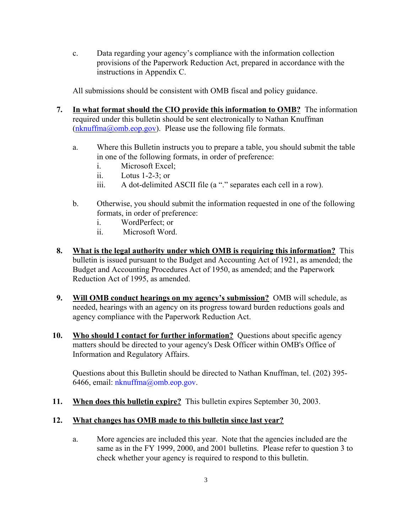c. Data regarding your agency's compliance with the information collection provisions of the Paperwork Reduction Act, prepared in accordance with the instructions in Appendix C.

All submissions should be consistent with OMB fiscal and policy guidance.

- **7. In what format should the CIO provide this information to OMB?** The information required under this bulletin should be sent electronically to Nathan Knuffman  $(nknuffma@omb.eop.gov)$ . Please use the following file formats.
	- a. Where this Bulletin instructs you to prepare a table, you should submit the table in one of the following formats, in order of preference:
		- i. Microsoft Excel;
		- ii. Lotus 1-2-3; or
		- iii. A dot-delimited ASCII file (a "." separates each cell in a row).
	- b. Otherwise, you should submit the information requested in one of the following formats, in order of preference:
		- i. WordPerfect; or
		- ii. Microsoft Word.
- **8. What is the legal authority under which OMB is requiring this information?** This bulletin is issued pursuant to the Budget and Accounting Act of 1921, as amended; the Budget and Accounting Procedures Act of 1950, as amended; and the Paperwork Reduction Act of 1995, as amended.
- **9. Will OMB conduct hearings on my agency's submission?** OMB will schedule, as needed, hearings with an agency on its progress toward burden reductions goals and agency compliance with the Paperwork Reduction Act.
- **10. Who should I contact for further information?** Questions about specific agency matters should be directed to your agency's Desk Officer within OMB's Office of Information and Regulatory Affairs.

Questions about this Bulletin should be directed to Nathan Knuffman, tel. (202) 395- 6466, email: [nknuffma@omb.eop.gov.](mailto:nknuffma@omb.eop.gov)

**11. When does this bulletin expire?** This bulletin expires September 30, 2003.

# **12. What changes has OMB made to this bulletin since last year?**

a. More agencies are included this year. Note that the agencies included are the same as in the FY 1999, 2000, and 2001 bulletins. Please refer to question 3 to check whether your agency is required to respond to this bulletin.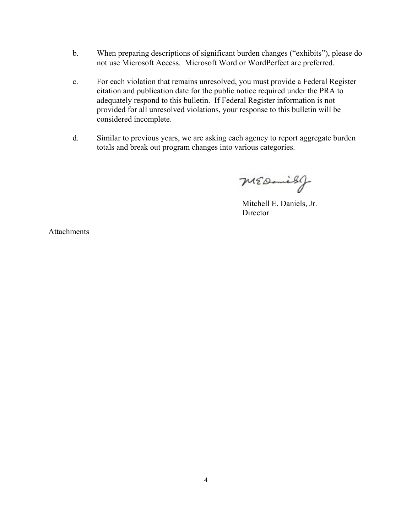- b. When preparing descriptions of significant burden changes ("exhibits"), please do not use Microsoft Access. Microsoft Word or WordPerfect are preferred.
- c. For each violation that remains unresolved, you must provide a Federal Register citation and publication date for the public notice required under the PRA to adequately respond to this bulletin. If Federal Register information is not provided for all unresolved violations, your response to this bulletin will be considered incomplete.
- d. Similar to previous years, we are asking each agency to report aggregate burden totals and break out program changes into various categories.

MEDanish

Mitchell E. Daniels, Jr. **Director** 

Attachments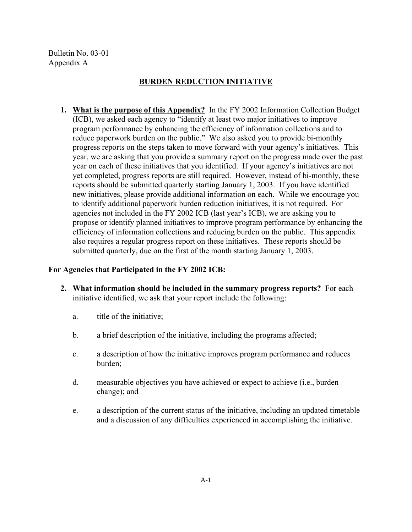Bulletin No. 03-01 Appendix A

# **BURDEN REDUCTION INITIATIVE**

**1. What is the purpose of this Appendix?** In the FY 2002 Information Collection Budget (ICB), we asked each agency to "identify at least two major initiatives to improve program performance by enhancing the efficiency of information collections and to reduce paperwork burden on the public." We also asked you to provide bi-monthly progress reports on the steps taken to move forward with your agency's initiatives. This year, we are asking that you provide a summary report on the progress made over the past year on each of these initiatives that you identified. If your agency's initiatives are not yet completed, progress reports are still required. However, instead of bi-monthly, these reports should be submitted quarterly starting January 1, 2003. If you have identified new initiatives, please provide additional information on each. While we encourage you to identify additional paperwork burden reduction initiatives, it is not required. For agencies not included in the FY 2002 ICB (last year's ICB), we are asking you to propose or identify planned initiatives to improve program performance by enhancing the efficiency of information collections and reducing burden on the public. This appendix also requires a regular progress report on these initiatives. These reports should be submitted quarterly, due on the first of the month starting January 1, 2003.

## **For Agencies that Participated in the FY 2002 ICB:**

- **2. What information should be included in the summary progress reports?** For each initiative identified, we ask that your report include the following:
	- a. title of the initiative;
	- b. a brief description of the initiative, including the programs affected;
	- c. a description of how the initiative improves program performance and reduces burden;
	- d. measurable objectives you have achieved or expect to achieve (i.e., burden change); and
	- e. a description of the current status of the initiative, including an updated timetable and a discussion of any difficulties experienced in accomplishing the initiative.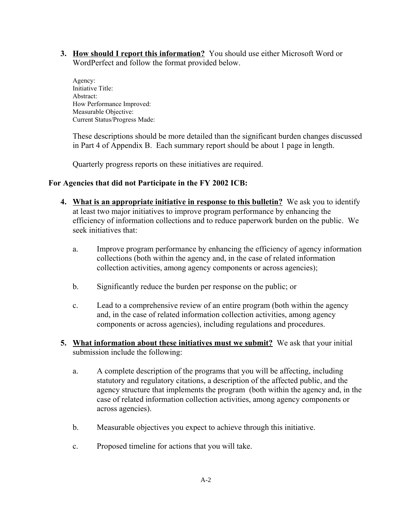**3. How should I report this information?** You should use either Microsoft Word or WordPerfect and follow the format provided below.

Agency: Initiative Title: Abstract: How Performance Improved: Measurable Objective: Current Status/Progress Made:

These descriptions should be more detailed than the significant burden changes discussed in Part 4 of Appendix B. Each summary report should be about 1 page in length.

Quarterly progress reports on these initiatives are required.

# **For Agencies that did not Participate in the FY 2002 ICB:**

- **4. What is an appropriate initiative in response to this bulletin?** We ask you to identify at least two major initiatives to improve program performance by enhancing the efficiency of information collections and to reduce paperwork burden on the public. We seek initiatives that:
	- a. Improve program performance by enhancing the efficiency of agency information collections (both within the agency and, in the case of related information collection activities, among agency components or across agencies);
	- b. Significantly reduce the burden per response on the public; or
	- c. Lead to a comprehensive review of an entire program (both within the agency and, in the case of related information collection activities, among agency components or across agencies), including regulations and procedures.
- **5. What information about these initiatives must we submit?** We ask that your initial submission include the following:
	- a. A complete description of the programs that you will be affecting, including statutory and regulatory citations, a description of the affected public, and the agency structure that implements the program (both within the agency and, in the case of related information collection activities, among agency components or across agencies).
	- b. Measurable objectives you expect to achieve through this initiative.
	- c. Proposed timeline for actions that you will take.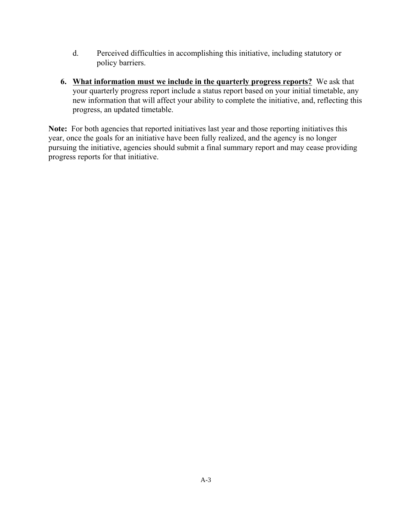- d. Perceived difficulties in accomplishing this initiative, including statutory or policy barriers.
- **6. What information must we include in the quarterly progress reports?** We ask that your quarterly progress report include a status report based on your initial timetable, any new information that will affect your ability to complete the initiative, and, reflecting this progress, an updated timetable.

Note: For both agencies that reported initiatives last year and those reporting initiatives this year, once the goals for an initiative have been fully realized, and the agency is no longer pursuing the initiative, agencies should submit a final summary report and may cease providing progress reports for that initiative.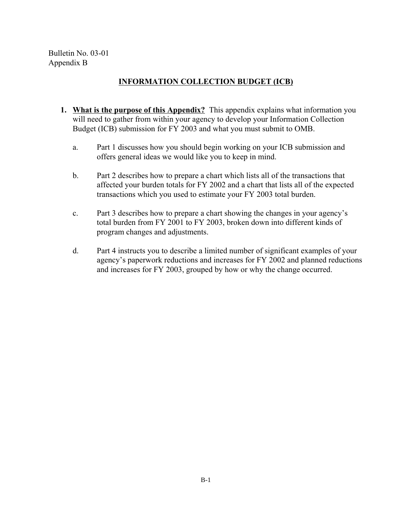Bulletin No. 03-01 Appendix B

# **INFORMATION COLLECTION BUDGET (ICB)**

- **1. What is the purpose of this Appendix?** This appendix explains what information you will need to gather from within your agency to develop your Information Collection Budget (ICB) submission for FY 2003 and what you must submit to OMB.
	- a. Part 1 discusses how you should begin working on your ICB submission and offers general ideas we would like you to keep in mind.
	- b. Part 2 describes how to prepare a chart which lists all of the transactions that affected your burden totals for FY 2002 and a chart that lists all of the expected transactions which you used to estimate your FY 2003 total burden.
	- c. Part 3 describes how to prepare a chart showing the changes in your agency's total burden from FY 2001 to FY 2003, broken down into different kinds of program changes and adjustments.
	- d. Part 4 instructs you to describe a limited number of significant examples of your agency's paperwork reductions and increases for FY 2002 and planned reductions and increases for FY 2003, grouped by how or why the change occurred.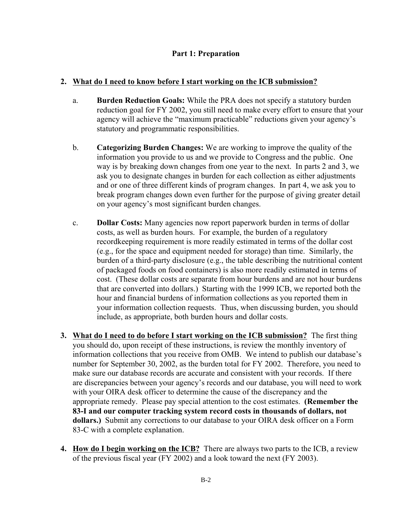# **Part 1: Preparation**

# **2. What do I need to know before I start working on the ICB submission?**

- a. **Burden Reduction Goals:** While the PRA does not specify a statutory burden reduction goal for FY 2002, you still need to make every effort to ensure that your agency will achieve the "maximum practicable" reductions given your agency's statutory and programmatic responsibilities.
- b. **Categorizing Burden Changes:** We are working to improve the quality of the information you provide to us and we provide to Congress and the public. One way is by breaking down changes from one year to the next. In parts 2 and 3, we ask you to designate changes in burden for each collection as either adjustments and or one of three different kinds of program changes. In part 4, we ask you to break program changes down even further for the purpose of giving greater detail on your agency's most significant burden changes.
- c. **Dollar Costs:** Many agencies now report paperwork burden in terms of dollar costs, as well as burden hours. For example, the burden of a regulatory recordkeeping requirement is more readily estimated in terms of the dollar cost (e.g., for the space and equipment needed for storage) than time. Similarly, the burden of a third-party disclosure (e.g., the table describing the nutritional content of packaged foods on food containers) is also more readily estimated in terms of cost. (These dollar costs are separate from hour burdens and are not hour burdens that are converted into dollars.) Starting with the 1999 ICB, we reported both the hour and financial burdens of information collections as you reported them in your information collection requests. Thus, when discussing burden, you should include, as appropriate, both burden hours and dollar costs.
- **3. What do I need to do before I start working on the ICB submission?** The first thing you should do, upon receipt of these instructions, is review the monthly inventory of information collections that you receive from OMB. We intend to publish our database's number for September 30, 2002, as the burden total for FY 2002. Therefore, you need to make sure our database records are accurate and consistent with your records. If there are discrepancies between your agency's records and our database, you will need to work with your OIRA desk officer to determine the cause of the discrepancy and the appropriate remedy. Please pay special attention to the cost estimates. **(Remember the 83-I and our computer tracking system record costs in thousands of dollars, not dollars.)** Submit any corrections to our database to your OIRA desk officer on a Form 83-C with a complete explanation.
- **4. How do I begin working on the ICB?** There are always two parts to the ICB, a review of the previous fiscal year (FY 2002) and a look toward the next (FY 2003).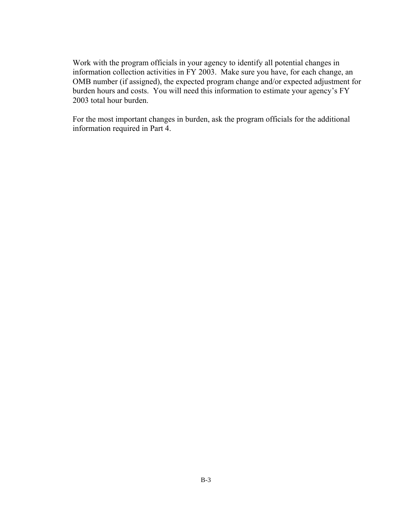Work with the program officials in your agency to identify all potential changes in information collection activities in FY 2003. Make sure you have, for each change, an OMB number (if assigned), the expected program change and/or expected adjustment for burden hours and costs. You will need this information to estimate your agency's FY 2003 total hour burden.

For the most important changes in burden, ask the program officials for the additional information required in Part 4.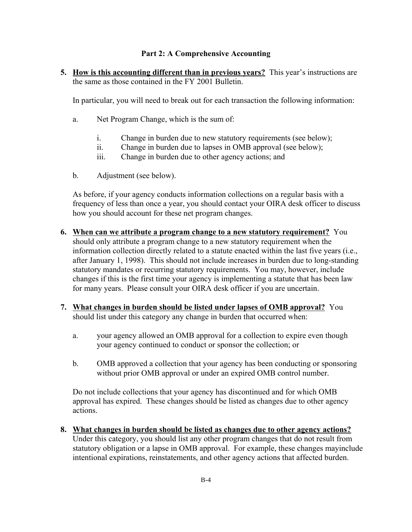# **Part 2: A Comprehensive Accounting**

**5. How is this accounting different than in previous years?** This year's instructions are the same as those contained in the FY 2001 Bulletin.

In particular, you will need to break out for each transaction the following information:

- a. Net Program Change, which is the sum of:
	- i. Change in burden due to new statutory requirements (see below);
	- ii. Change in burden due to lapses in OMB approval (see below);
	- iii. Change in burden due to other agency actions; and
- b. Adjustment (see below).

As before, if your agency conducts information collections on a regular basis with a frequency of less than once a year, you should contact your OIRA desk officer to discuss how you should account for these net program changes.

- **6. When can we attribute a program change to a new statutory requirement?** You should only attribute a program change to a new statutory requirement when the information collection directly related to a statute enacted within the last five years (i.e., after January 1, 1998). This should not include increases in burden due to long-standing statutory mandates or recurring statutory requirements. You may, however, include changes if this is the first time your agency is implementing a statute that has been law for many years. Please consult your OIRA desk officer if you are uncertain.
- **7. What changes in burden should be listed under lapses of OMB approval?** You should list under this category any change in burden that occurred when:
	- a. your agency allowed an OMB approval for a collection to expire even though your agency continued to conduct or sponsor the collection; or
	- b. OMB approved a collection that your agency has been conducting or sponsoring without prior OMB approval or under an expired OMB control number.

Do not include collections that your agency has discontinued and for which OMB approval has expired. These changes should be listed as changes due to other agency actions.

**8. What changes in burden should be listed as changes due to other agency actions?**  Under this category, you should list any other program changes that do not result from statutory obligation or a lapse in OMB approval. For example, these changes mayinclude intentional expirations, reinstatements, and other agency actions that affected burden.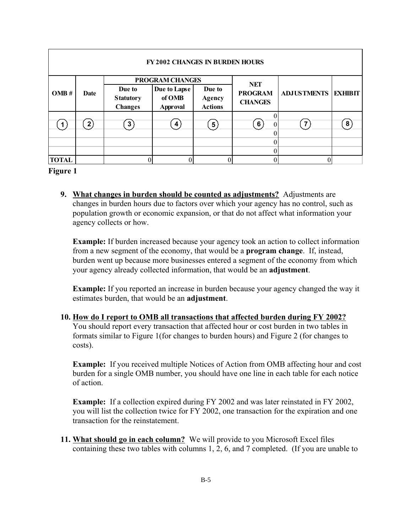| <b>FY 2002 CHANGES IN BURDEN HOURS</b> |                |                                              |                                           |                                    |                                  |                    |                |
|----------------------------------------|----------------|----------------------------------------------|-------------------------------------------|------------------------------------|----------------------------------|--------------------|----------------|
|                                        | Date           | PROGRAM CHANGES                              |                                           | <b>NET</b>                         |                                  |                    |                |
| OMB#                                   |                | Due to<br><b>Statutory</b><br><b>Changes</b> | Due to Lapse<br>of OMB<br><b>Approval</b> | Due to<br>Agency<br><b>Actions</b> | <b>PROGRAM</b><br><b>CHANGES</b> | <b>ADJUSTMENTS</b> | <b>EXHIBIT</b> |
|                                        | 2 <sub>1</sub> | 3                                            | 4                                         | $5^{\circ}$                        | 6<br>$\Omega$                    |                    | 8              |
|                                        |                |                                              |                                           |                                    |                                  |                    |                |
|                                        |                |                                              |                                           |                                    |                                  |                    |                |
| <b>TOTAL</b>                           |                |                                              |                                           |                                    |                                  |                    |                |

#### **Figure 1**

**9. What changes in burden should be counted as adjustments?** Adjustments are changes in burden hours due to factors over which your agency has no control, such as population growth or economic expansion, or that do not affect what information your agency collects or how.

**Example:** If burden increased because your agency took an action to collect information from a new segment of the economy, that would be a **program change**. If, instead, burden went up because more businesses entered a segment of the economy from which your agency already collected information, that would be an **adjustment**.

**Example:** If you reported an increase in burden because your agency changed the way it estimates burden, that would be an **adjustment**.

**10. How do I report to OMB all transactions that affected burden during FY 2002?**  You should report every transaction that affected hour or cost burden in two tables in formats similar to Figure 1(for changes to burden hours) and Figure 2 (for changes to costs).

**Example:** If you received multiple Notices of Action from OMB affecting hour and cost burden for a single OMB number, you should have one line in each table for each notice of action.

**Example:** If a collection expired during FY 2002 and was later reinstated in FY 2002, you will list the collection twice for FY 2002, one transaction for the expiration and one transaction for the reinstatement.

**11. What should go in each column?** We will provide to you Microsoft Excel files containing these two tables with columns 1, 2, 6, and 7 completed. (If you are unable to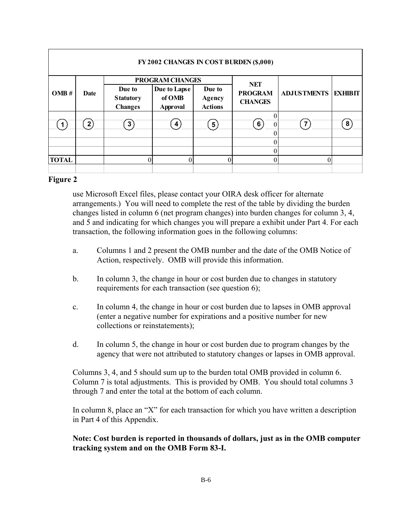| FY 2002 CHANGES IN COST BURDEN (\$,000) |                |                                              |                                                              |                                    |                                                |                    |                |
|-----------------------------------------|----------------|----------------------------------------------|--------------------------------------------------------------|------------------------------------|------------------------------------------------|--------------------|----------------|
| OMB#                                    | Date           | Due to<br><b>Statutory</b><br><b>Changes</b> | PROGRAM CHANGES<br>Due to Lapse<br>of OMB<br><b>Approval</b> | Due to<br>Agency<br><b>Actions</b> | <b>NET</b><br><b>PROGRAM</b><br><b>CHANGES</b> | <b>ADJUSTMENTS</b> | <b>EXHIBIT</b> |
|                                         | 2 <sub>i</sub> | 3                                            | 4                                                            | 5 <sup>1</sup>                     | 6<br>$\theta$                                  |                    | 8              |
| <b>TOTAL</b>                            |                |                                              |                                                              |                                    |                                                |                    |                |

## **Figure 2**

use Microsoft Excel files, please contact your OIRA desk officer for alternate arrangements.) You will need to complete the rest of the table by dividing the burden changes listed in column 6 (net program changes) into burden changes for column 3, 4, and 5 and indicating for which changes you will prepare a exhibit under Part 4. For each transaction, the following information goes in the following columns:

- a. Columns 1 and 2 present the OMB number and the date of the OMB Notice of Action, respectively. OMB will provide this information.
- b. In column 3, the change in hour or cost burden due to changes in statutory requirements for each transaction (see question 6);
- c. In column 4, the change in hour or cost burden due to lapses in OMB approval (enter a negative number for expirations and a positive number for new collections or reinstatements);
- d. In column 5, the change in hour or cost burden due to program changes by the agency that were not attributed to statutory changes or lapses in OMB approval.

Columns 3, 4, and 5 should sum up to the burden total OMB provided in column 6. Column 7 is total adjustments. This is provided by OMB. You should total columns 3 through 7 and enter the total at the bottom of each column.

In column 8, place an "X" for each transaction for which you have written a description in Part 4 of this Appendix.

**Note: Cost burden is reported in thousands of dollars, just as in the OMB computer tracking system and on the OMB Form 83-I.**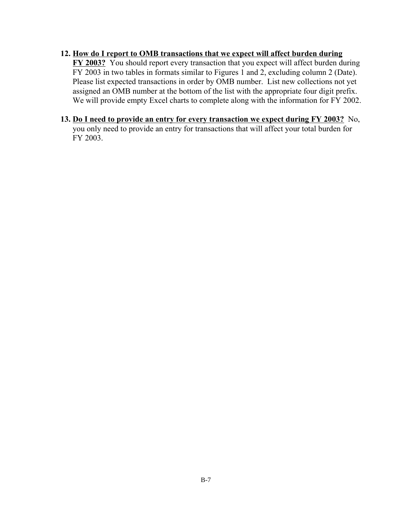# **12. How do I report to OMB transactions that we expect will affect burden during FY 2003?** You should report every transaction that you expect will affect burden during FY 2003 in two tables in formats similar to Figures 1 and 2, excluding column 2 (Date). Please list expected transactions in order by OMB number. List new collections not yet assigned an OMB number at the bottom of the list with the appropriate four digit prefix. We will provide empty Excel charts to complete along with the information for FY 2002.

**13. Do I need to provide an entry for every transaction we expect during FY 2003?** No, you only need to provide an entry for transactions that will affect your total burden for FY 2003.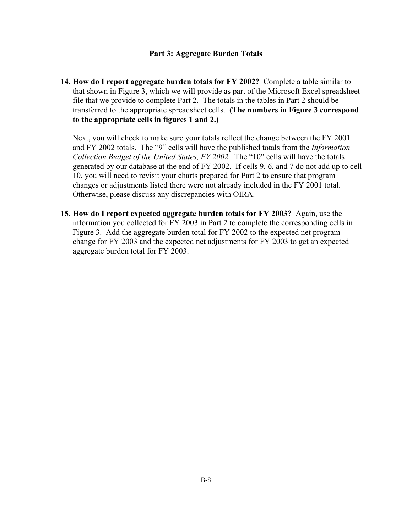## **Part 3: Aggregate Burden Totals**

**14. How do I report aggregate burden totals for FY 2002?** Complete a table similar to that shown in Figure 3, which we will provide as part of the Microsoft Excel spreadsheet file that we provide to complete Part 2. The totals in the tables in Part 2 should be transferred to the appropriate spreadsheet cells. **(The numbers in Figure 3 correspond to the appropriate cells in figures 1 and 2.)** 

Next, you will check to make sure your totals reflect the change between the FY 2001 and FY 2002 totals. The "9" cells will have the published totals from the *Information Collection Budget of the United States, FY 2002.* The "10" cells will have the totals generated by our database at the end of FY 2002. If cells 9, 6, and 7 do not add up to cell 10, you will need to revisit your charts prepared for Part 2 to ensure that program changes or adjustments listed there were not already included in the FY 2001 total. Otherwise, please discuss any discrepancies with OIRA.

**15. How do I report expected aggregate burden totals for FY 2003?** Again, use the information you collected for FY 2003 in Part 2 to complete the corresponding cells in Figure 3. Add the aggregate burden total for FY 2002 to the expected net program change for FY 2003 and the expected net adjustments for FY 2003 to get an expected aggregate burden total for FY 2003.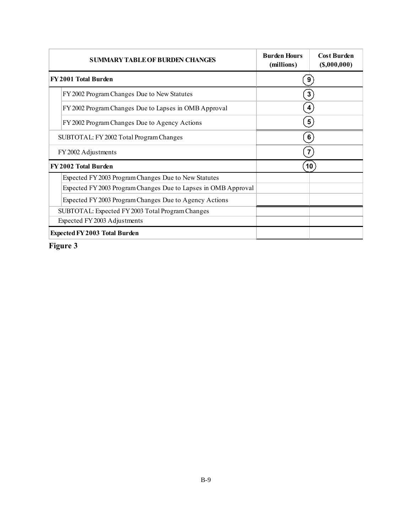| <b>SUMMARY TABLE OF BURDEN CHANGES</b>                         | <b>Burden Hours</b><br>(millions) | <b>Cost Burden</b><br>$($ \$,000,000 $)$ |  |
|----------------------------------------------------------------|-----------------------------------|------------------------------------------|--|
| FY 2001 Total Burden                                           | 9 <sup>°</sup>                    |                                          |  |
| FY 2002 Program Changes Due to New Statutes                    |                                   | 3 <sup>2</sup>                           |  |
| FY 2002 Program Changes Due to Lapses in OMB Approval          |                                   | $\mathbf{4}^{\prime}$                    |  |
| FY 2002 Program Changes Due to Agency Actions                  |                                   | $\vert 5 \rangle$                        |  |
| SUBTOTAL: FY 2002 Total Program Changes                        |                                   | 6 <sup>°</sup>                           |  |
| FY 2002 Adjustments                                            |                                   | $\mathbf{7}^{\circ}$                     |  |
| FY 2002 Total Burden                                           |                                   | 10                                       |  |
| Expected FY 2003 Program Changes Due to New Statutes           |                                   |                                          |  |
| Expected FY 2003 Program Changes Due to Lapses in OMB Approval |                                   |                                          |  |
| Expected FY 2003 Program Changes Due to Agency Actions         |                                   |                                          |  |
| SUBTOTAL: Expected FY 2003 Total Program Changes               |                                   |                                          |  |
| Expected FY 2003 Adjustments                                   |                                   |                                          |  |
| <b>Expected FY 2003 Total Burden</b>                           |                                   |                                          |  |

**Figure 3**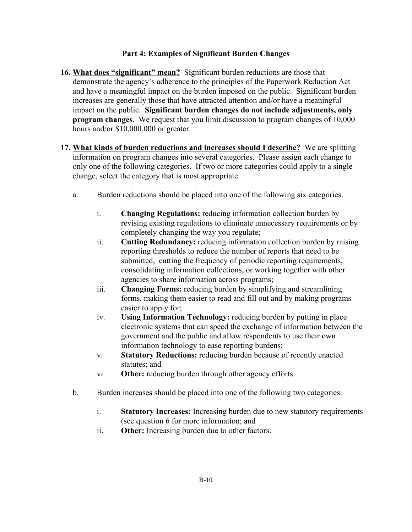# **Part 4: Examples of Significant Burden Changes**

- **16. What does "significant" mean?** Significant burden reductions are those that demonstrate the agency's adherence to the principles of the Paperwork Reduction Act and have a meaningful impact on the burden imposed on the public. Significant burden increases are generally those that have attracted attention and/or have a meaningful impact on the public. **Significant burden changes do not include adjustments, only program changes.** We request that you limit discussion to program changes of 10,000 hours and/or \$10,000,000 or greater.
- **17. What kinds of burden reductions and increases should I describe?** We are splitting information on program changes into several categories. Please assign each change to only one of the following categories. If two or more categories could apply to a single change, select the category that is most appropriate.
	- a. Burden reductions should be placed into one of the following six categories.
		- i. **Changing Regulations:** reducing information collection burden by revising existing regulations to eliminate unnecessary requirements or by completely changing the way you regulate;
		- ii. **Cutting Redundancy:** reducing information collection burden by raising reporting thresholds to reduce the number of reports that need to be submitted, cutting the frequency of periodic reporting requirements, consolidating information collections, or working together with other agencies to share information across programs;
		- iii. **Changing Forms:** reducing burden by simplifying and streamlining forms, making them easier to read and fill out and by making programs easier to apply for;
		- iv. **Using Information Technology:** reducing burden by putting in place electronic systems that can speed the exchange of information between the government and the public and allow respondents to use their own information technology to ease reporting burdens;
		- v. **Statutory Reductions:** reducing burden because of recently enacted statutes; and
		- vi. **Other:** reducing burden through other agency efforts.
	- b. Burden increases should be placed into one of the following two categories:
		- i. **Statutory Increases:** Increasing burden due to new statutory requirements (see question 6 for more information; and
		- ii. **Other:** Increasing burden due to other factors.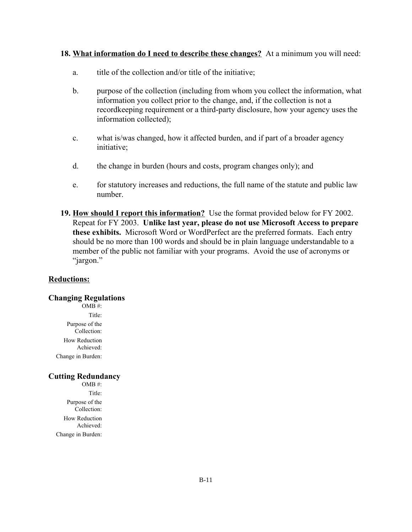## **18. What information do I need to describe these changes?** At a minimum you will need:

- a. title of the collection and/or title of the initiative;
- b. purpose of the collection (including from whom you collect the information, what information you collect prior to the change, and, if the collection is not a recordkeeping requirement or a third-party disclosure, how your agency uses the information collected);
- c. what is/was changed, how it affected burden, and if part of a broader agency initiative;
- d. the change in burden (hours and costs, program changes only); and
- e. for statutory increases and reductions, the full name of the statute and public law number.
- **19. How should I report this information?** Use the format provided below for FY 2002. Repeat for FY 2003. **Unlike last year, please do not use Microsoft Access to prepare these exhibits.** Microsoft Word or WordPerfect are the preferred formats. Each entry should be no more than 100 words and should be in plain language understandable to a member of the public not familiar with your programs. Avoid the use of acronyms or "jargon."

## **Reductions:**

## **Changing Regulations**

 $OMB#$ : Title: Purpose of the Collection: How Reduction Achieved: Change in Burden:

## **Cutting Redundancy**

OMB #: Title: Purpose of the Collection: How Reduction Achieved: Change in Burden: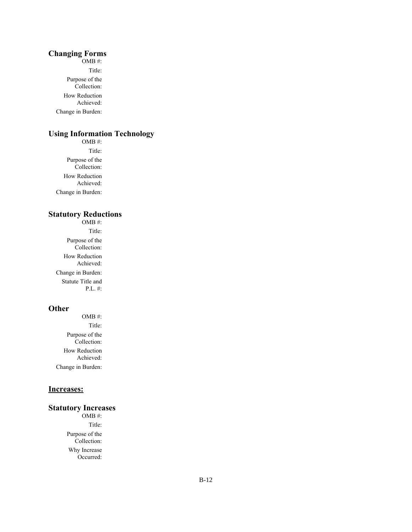#### **Changing Forms**

OMB #: Title: Purpose of the Collection: How Reduction Achieved: Change in Burden:

# **Using Information Technology**

OMB #: Title: Purpose of the Collection: How Reduction Achieved: Change in Burden:

#### **Statutory Reductions**  OMB #:

Title: Purpose of the Collection: How Reduction Achieved: Change in Burden: Statute Title and P.L. #:

## **Other**

OMB #: Title: Purpose of the Collection: How Reduction Achieved: Change in Burden:

# **Increases:**

#### **Statutory Increases**

OMB #: Title: Purpose of the Collection: Why Increase Occurred: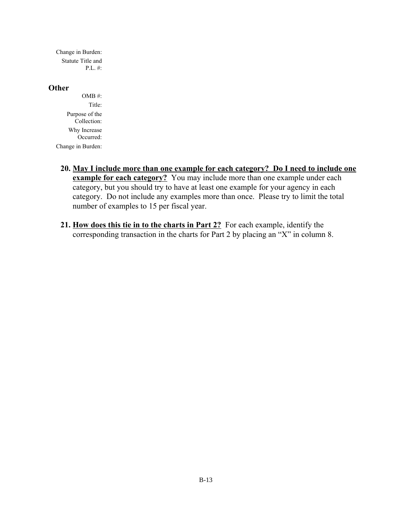Change in Burden: Statute Title and P.L. #:

#### **Other**

- OMB #: Title: Purpose of the Collection: Why Increase Occurred: Change in Burden:
	- **20. May I include more than one example for each category? Do I need to include one <u>example for each category?</u>** You may include more than one example under each category, but you should try to have at least one example for your agency in each category. Do not include any examples more than once. Please try to limit the total number of examples to 15 per fiscal year.
	- **21. How does this tie in to the charts in Part 2?** For each example, identify the corresponding transaction in the charts for Part 2 by placing an "X" in column 8.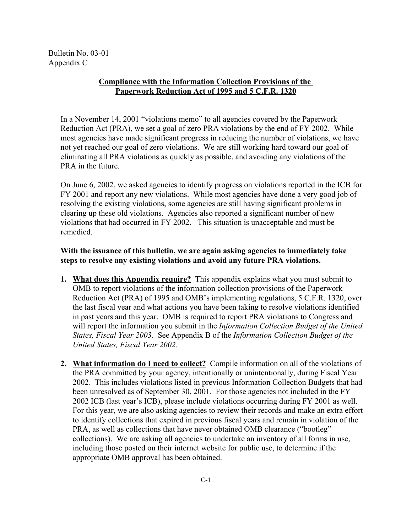Bulletin No. 03-01 Appendix C

# **Compliance with the Information Collection Provisions of the Paperwork Reduction Act of 1995 and 5 C.F.R. 1320**

In a November 14, 2001 "violations memo" to all agencies covered by the Paperwork Reduction Act (PRA), we set a goal of zero PRA violations by the end of FY 2002. While most agencies have made significant progress in reducing the number of violations, we have not yet reached our goal of zero violations. We are still working hard toward our goal of eliminating all PRA violations as quickly as possible, and avoiding any violations of the PRA in the future.

On June 6, 2002, we asked agencies to identify progress on violations reported in the ICB for FY 2001 and report any new violations. While most agencies have done a very good job of resolving the existing violations, some agencies are still having significant problems in clearing up these old violations. Agencies also reported a significant number of new violations that had occurred in FY 2002. This situation is unacceptable and must be remedied.

# **With the issuance of this bulletin, we are again asking agencies to immediately take steps to resolve any existing violations and avoid any future PRA violations.**

- **1. What does this Appendix require?** This appendix explains what you must submit to OMB to report violations of the information collection provisions of the Paperwork Reduction Act (PRA) of 1995 and OMB's implementing regulations, 5 C.F.R. 1320, over the last fiscal year and what actions you have been taking to resolve violations identified in past years and this year. OMB is required to report PRA violations to Congress and will report the information you submit in the *Information Collection Budget of the United States, Fiscal Year 2003*. See Appendix B of the *Information Collection Budget of the United States, Fiscal Year 2002.*
- **2. What information do I need to collect?** Compile information on all of the violations of the PRA committed by your agency, intentionally or unintentionally, during Fiscal Year 2002. This includes violations listed in previous Information Collection Budgets that had been unresolved as of September 30, 2001. For those agencies not included in the FY 2002 ICB (last year's ICB), please include violations occurring during FY 2001 as well. For this year, we are also asking agencies to review their records and make an extra effort to identify collections that expired in previous fiscal years and remain in violation of the PRA, as well as collections that have never obtained OMB clearance ("bootleg" collections). We are asking all agencies to undertake an inventory of all forms in use, including those posted on their internet website for public use, to determine if the appropriate OMB approval has been obtained.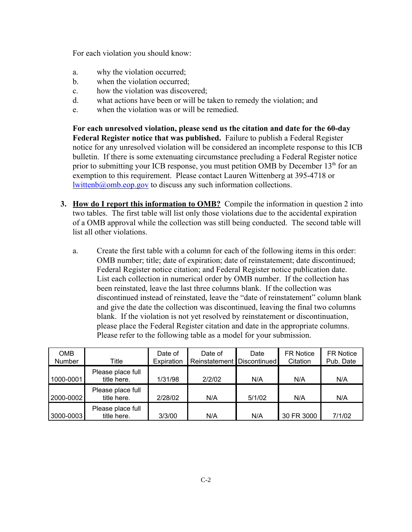For each violation you should know:

- a. why the violation occurred;
- b. when the violation occurred;
- c. how the violation was discovered;
- d. what actions have been or will be taken to remedy the violation; and
- e. when the violation was or will be remedied.

**For each unresolved violation, please send us the citation and date for the 60-day Federal Register notice that was published.** Failure to publish a Federal Register notice for any unresolved violation will be considered an incomplete response to this ICB bulletin. If there is some extenuating circumstance precluding a Federal Register notice prior to submitting your ICB response, you must petition OMB by December  $13<sup>th</sup>$  for an exemption to this requirement. Please contact Lauren Wittenberg at 395-4718 or  $l$ wittenb $@$ <sub>o</sub>mb.eop.gov to discuss any such information collections.

- **3. How do I report this information to OMB?** Compile the information in question 2 into two tables. The first table will list only those violations due to the accidental expiration of a OMB approval while the collection was still being conducted. The second table will list all other violations.
	- a. Create the first table with a column for each of the following items in this order: OMB number; title; date of expiration; date of reinstatement; date discontinued; Federal Register notice citation; and Federal Register notice publication date. List each collection in numerical order by OMB number. If the collection has been reinstated, leave the last three columns blank. If the collection was discontinued instead of reinstated, leave the "date of reinstatement" column blank and give the date the collection was discontinued, leaving the final two columns blank. If the violation is not yet resolved by reinstatement or discontinuation, please place the Federal Register citation and date in the appropriate columns. Please refer to the following table as a model for your submission.

| <b>OMB</b><br><b>Number</b> | Title                            | Date of<br>Expiration | Date of<br>Reinstatement Discontinued | Date   | <b>FR Notice</b><br>Citation | <b>FR Notice</b><br>Pub. Date |
|-----------------------------|----------------------------------|-----------------------|---------------------------------------|--------|------------------------------|-------------------------------|
| 1000-0001                   | Please place full<br>title here. | 1/31/98               | 2/2/02                                | N/A    | N/A                          | N/A                           |
| 2000-0002                   | Please place full<br>title here. | 2/28/02               | N/A                                   | 5/1/02 | N/A                          | N/A                           |
| 3000-0003                   | Please place full<br>title here. | 3/3/00                | N/A                                   | N/A    | 30 FR 3000                   | 7/1/02                        |